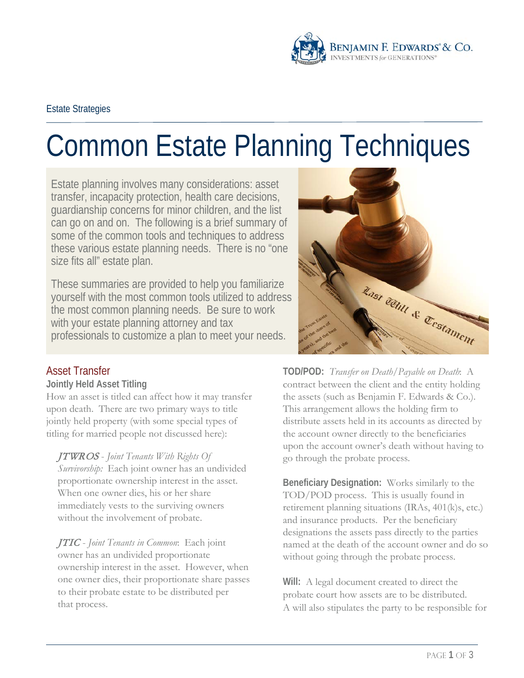

#### Estate Strategies

# Common Estate Planning Techniques

Estate planning involves many considerations: asset transfer, incapacity protection, health care decisions, guardianship concerns for minor children, and the list can go on and on. The following is a brief summary of some of the common tools and techniques to address these various estate planning needs. There is no "one size fits all" estate plan.

These summaries are provided to help you familiarize yourself with the most common tools utilized to address the most common planning needs. Be sure to work with your estate planning attorney and tax professionals to customize a plan to meet your needs.



## Asset Transfer

#### **Jointly Held Asset Titling**

How an asset is titled can affect how it may transfer upon death. There are two primary ways to title jointly held property (with some special types of titling for married people not discussed here):

JTWROS - *Joint Tenants With Rights Of Survivorship:* Each joint owner has an undivided proportionate ownership interest in the asset. When one owner dies, his or her share immediately vests to the surviving owners without the involvement of probate.

JTIC - *Joint Tenants in Common*: Each joint owner has an undivided proportionate ownership interest in the asset. However, when one owner dies, their proportionate share passes to their probate estate to be distributed per that process.

**TOD/POD:** *Transfer on Death/Payable on Death*: A contract between the client and the entity holding the assets (such as Benjamin F. Edwards & Co.). This arrangement allows the holding firm to distribute assets held in its accounts as directed by the account owner directly to the beneficiaries upon the account owner's death without having to go through the probate process.

**Beneficiary Designation:** Works similarly to the TOD/POD process. This is usually found in retirement planning situations (IRAs, 401(k)s, etc.) and insurance products. Per the beneficiary designations the assets pass directly to the parties named at the death of the account owner and do so without going through the probate process.

**Will:** A legal document created to direct the probate court how assets are to be distributed. A will also stipulates the party to be responsible for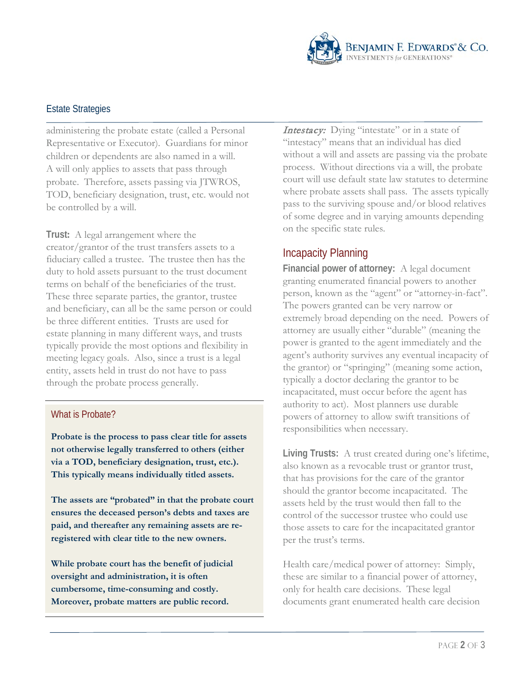

#### Estate Strategies

administering the probate estate (called a Personal Representative or Executor). Guardians for minor children or dependents are also named in a will. A will only applies to assets that pass through probate. Therefore, assets passing via JTWROS, TOD, beneficiary designation, trust, etc. would not be controlled by a will.

**Trust:** A legal arrangement where the creator/grantor of the trust transfers assets to a fiduciary called a trustee. The trustee then has the duty to hold assets pursuant to the trust document terms on behalf of the beneficiaries of the trust. These three separate parties, the grantor, trustee and beneficiary, can all be the same person or could be three different entities. Trusts are used for estate planning in many different ways, and trusts typically provide the most options and flexibility in meeting legacy goals. Also, since a trust is a legal entity, assets held in trust do not have to pass through the probate process generally.

#### What is Probate?

**Probate is the process to pass clear title for assets not otherwise legally transferred to others (either via a TOD, beneficiary designation, trust, etc.). This typically means individually titled assets.** 

**The assets are "probated" in that the probate court ensures the deceased person's debts and taxes are paid, and thereafter any remaining assets are reregistered with clear title to the new owners.** 

**While probate court has the benefit of judicial oversight and administration, it is often cumbersome, time-consuming and costly. Moreover, probate matters are public record.**

Intestacy: Dying "intestate" or in a state of "intestacy" means that an individual has died without a will and assets are passing via the probate process. Without directions via a will, the probate court will use default state law statutes to determine where probate assets shall pass. The assets typically pass to the surviving spouse and/or blood relatives of some degree and in varying amounts depending on the specific state rules.

## Incapacity Planning

**Financial power of attorney:** A legal document granting enumerated financial powers to another person, known as the "agent" or "attorney-in-fact". The powers granted can be very narrow or extremely broad depending on the need. Powers of attorney are usually either "durable" (meaning the power is granted to the agent immediately and the agent's authority survives any eventual incapacity of the grantor) or "springing" (meaning some action, typically a doctor declaring the grantor to be incapacitated, must occur before the agent has authority to act). Most planners use durable powers of attorney to allow swift transitions of responsibilities when necessary.

**Living Trusts:** A trust created during one's lifetime, also known as a revocable trust or grantor trust, that has provisions for the care of the grantor should the grantor become incapacitated. The assets held by the trust would then fall to the control of the successor trustee who could use those assets to care for the incapacitated grantor per the trust's terms.

Health care/medical power of attorney: Simply, these are similar to a financial power of attorney, only for health care decisions. These legal documents grant enumerated health care decision